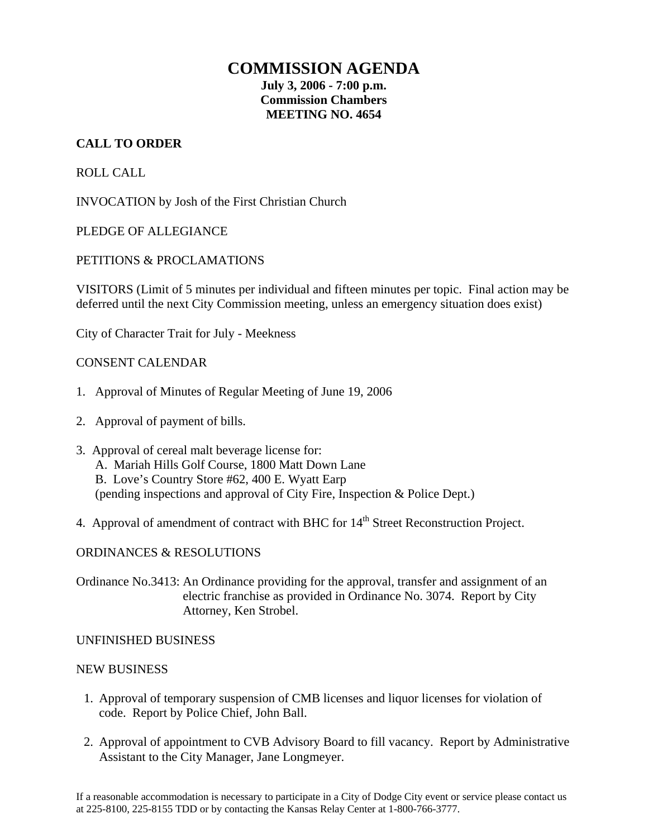### **COMMISSION AGENDA**

**July 3, 2006 - 7:00 p.m. Commission Chambers MEETING NO. 4654** 

#### **CALL TO ORDER**

ROLL CALL

INVOCATION by Josh of the First Christian Church

PLEDGE OF ALLEGIANCE

#### PETITIONS & PROCLAMATIONS

VISITORS (Limit of 5 minutes per individual and fifteen minutes per topic. Final action may be deferred until the next City Commission meeting, unless an emergency situation does exist)

City of Character Trait for July - Meekness

#### CONSENT CALENDAR

- 1. Approval of Minutes of Regular Meeting of June 19, 2006
- 2. Approval of payment of bills.
- 3. Approval of cereal malt beverage license for: A. Mariah Hills Golf Course, 1800 Matt Down Lane B. Love's Country Store #62, 400 E. Wyatt Earp (pending inspections and approval of City Fire, Inspection & Police Dept.)
- 4. Approval of amendment of contract with BHC for 14<sup>th</sup> Street Reconstruction Project.

#### ORDINANCES & RESOLUTIONS

Ordinance No.3413: An Ordinance providing for the approval, transfer and assignment of an electric franchise as provided in Ordinance No. 3074. Report by City Attorney, Ken Strobel.

#### UNFINISHED BUSINESS

#### NEW BUSINESS

- 1. Approval of temporary suspension of CMB licenses and liquor licenses for violation of code. Report by Police Chief, John Ball.
- 2. Approval of appointment to CVB Advisory Board to fill vacancy. Report by Administrative Assistant to the City Manager, Jane Longmeyer.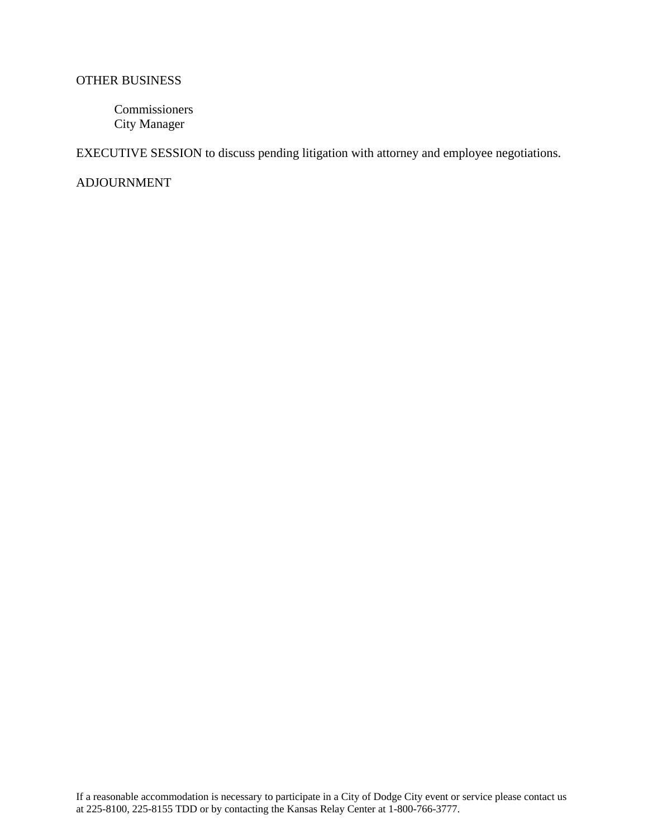#### OTHER BUSINESS

Commissioners City Manager

EXECUTIVE SESSION to discuss pending litigation with attorney and employee negotiations.

ADJOURNMENT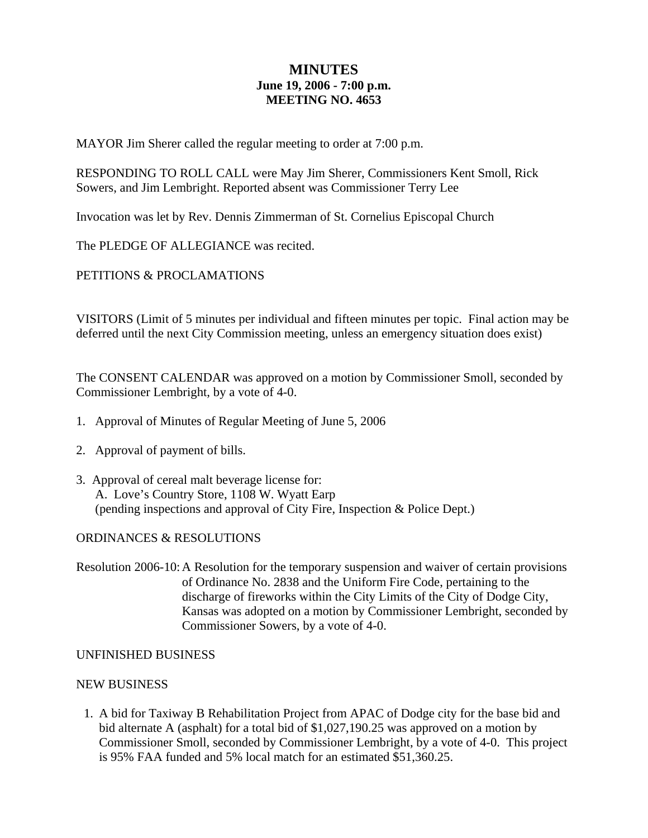#### **MINUTES June 19, 2006 - 7:00 p.m. MEETING NO. 4653**

MAYOR Jim Sherer called the regular meeting to order at 7:00 p.m.

RESPONDING TO ROLL CALL were May Jim Sherer, Commissioners Kent Smoll, Rick Sowers, and Jim Lembright. Reported absent was Commissioner Terry Lee

Invocation was let by Rev. Dennis Zimmerman of St. Cornelius Episcopal Church

The PLEDGE OF ALLEGIANCE was recited.

PETITIONS & PROCLAMATIONS

VISITORS (Limit of 5 minutes per individual and fifteen minutes per topic. Final action may be deferred until the next City Commission meeting, unless an emergency situation does exist)

The CONSENT CALENDAR was approved on a motion by Commissioner Smoll, seconded by Commissioner Lembright, by a vote of 4-0.

- 1. Approval of Minutes of Regular Meeting of June 5, 2006
- 2. Approval of payment of bills.
- 3. Approval of cereal malt beverage license for: A. Love's Country Store, 1108 W. Wyatt Earp (pending inspections and approval of City Fire, Inspection & Police Dept.)

#### ORDINANCES & RESOLUTIONS

Resolution 2006-10: A Resolution for the temporary suspension and waiver of certain provisions of Ordinance No. 2838 and the Uniform Fire Code, pertaining to the discharge of fireworks within the City Limits of the City of Dodge City, Kansas was adopted on a motion by Commissioner Lembright, seconded by Commissioner Sowers, by a vote of 4-0.

#### UNFINISHED BUSINESS

#### NEW BUSINESS

1. A bid for Taxiway B Rehabilitation Project from APAC of Dodge city for the base bid and bid alternate A (asphalt) for a total bid of \$1,027,190.25 was approved on a motion by Commissioner Smoll, seconded by Commissioner Lembright, by a vote of 4-0. This project is 95% FAA funded and 5% local match for an estimated \$51,360.25.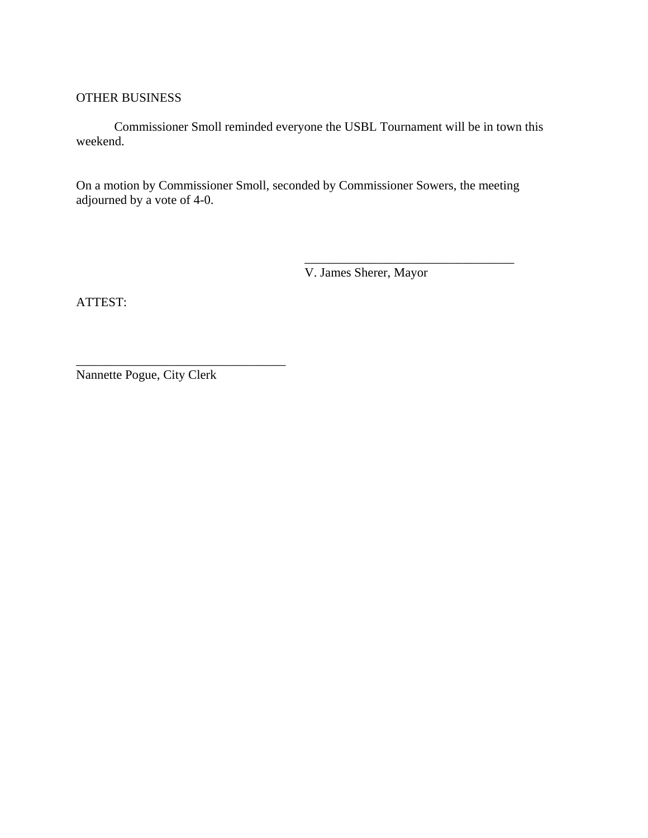#### OTHER BUSINESS

Commissioner Smoll reminded everyone the USBL Tournament will be in town this weekend.

On a motion by Commissioner Smoll, seconded by Commissioner Sowers, the meeting adjourned by a vote of 4-0.

 $\overline{\phantom{a}}$  , which is a set of the set of the set of the set of the set of the set of the set of the set of the set of the set of the set of the set of the set of the set of the set of the set of the set of the set of th

V. James Sherer, Mayor

ATTEST:

Nannette Pogue, City Clerk

\_\_\_\_\_\_\_\_\_\_\_\_\_\_\_\_\_\_\_\_\_\_\_\_\_\_\_\_\_\_\_\_\_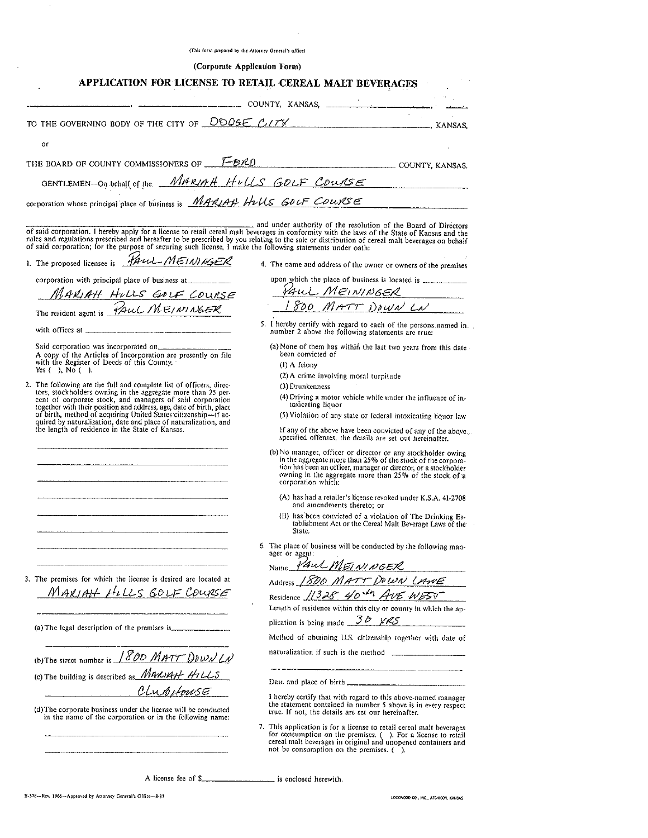|                                                                                                                                                                                                                                                                                                                                                                                                                                                                 | (This form prepared by the Attorney General's office)                                                                                                                                                                                                                                                                                                             |
|-----------------------------------------------------------------------------------------------------------------------------------------------------------------------------------------------------------------------------------------------------------------------------------------------------------------------------------------------------------------------------------------------------------------------------------------------------------------|-------------------------------------------------------------------------------------------------------------------------------------------------------------------------------------------------------------------------------------------------------------------------------------------------------------------------------------------------------------------|
|                                                                                                                                                                                                                                                                                                                                                                                                                                                                 | (Corporate Application Form)                                                                                                                                                                                                                                                                                                                                      |
|                                                                                                                                                                                                                                                                                                                                                                                                                                                                 | APPLICATION FOR LICENSE TO RETAIL CEREAL MALT BEVERAGES                                                                                                                                                                                                                                                                                                           |
|                                                                                                                                                                                                                                                                                                                                                                                                                                                                 | COUNTY, KANSAS,                                                                                                                                                                                                                                                                                                                                                   |
|                                                                                                                                                                                                                                                                                                                                                                                                                                                                 | TO THE GOVERNING BODY OF THE CITY OF $\overline{DOGE}$ C <sub>1</sub> TY                                                                                                                                                                                                                                                                                          |
| or                                                                                                                                                                                                                                                                                                                                                                                                                                                              |                                                                                                                                                                                                                                                                                                                                                                   |
|                                                                                                                                                                                                                                                                                                                                                                                                                                                                 |                                                                                                                                                                                                                                                                                                                                                                   |
|                                                                                                                                                                                                                                                                                                                                                                                                                                                                 | THE BOARD OF COUNTY COMMISSIONERS OF $\sqrt{F} \mathcal{D} \mathcal{R} \mathcal{D}$ county, kansas.                                                                                                                                                                                                                                                               |
|                                                                                                                                                                                                                                                                                                                                                                                                                                                                 | GENTLEMEN-On behalf of the <i>MARIAH HULS GOLF COURSE</i><br>corporation whose principal place of business is <i>MARIAH HULS GOLF COURSE</i>                                                                                                                                                                                                                      |
|                                                                                                                                                                                                                                                                                                                                                                                                                                                                 |                                                                                                                                                                                                                                                                                                                                                                   |
| of said corporation; for the purpose of securing such license. I make the following statements under oath:                                                                                                                                                                                                                                                                                                                                                      | and under authority of the resolution of the Board of Directors<br>of said corporation. I hereby apply for a license to retail cereal malt beverages in conformity with the laws of the State of Kansas and the<br>rules and regulations prescribed and hereafter to be prescribed by you relating to the sale or distribution of cereal malt beverages on behalf |
| 1. The proposed licensee is <i>HAUL MEININGER</i>                                                                                                                                                                                                                                                                                                                                                                                                               | 4. The name and address of the owner or owners of the premises                                                                                                                                                                                                                                                                                                    |
| corporation with principal place of business at                                                                                                                                                                                                                                                                                                                                                                                                                 |                                                                                                                                                                                                                                                                                                                                                                   |
|                                                                                                                                                                                                                                                                                                                                                                                                                                                                 | PAUL MEININGER                                                                                                                                                                                                                                                                                                                                                    |
| <u>MARIAH HILLS GOLF COURSE</u><br>The resident agent is <i>PAUL MEININGER</i>                                                                                                                                                                                                                                                                                                                                                                                  | 1800 MATT DOWN LN                                                                                                                                                                                                                                                                                                                                                 |
|                                                                                                                                                                                                                                                                                                                                                                                                                                                                 | 5. I hereby certify with regard to each of the persons named in number 2 above the following statements are true:                                                                                                                                                                                                                                                 |
| A copy of the Articles of Incorporation are presently on file<br>with the Register of Deeds of this County.<br>Yes $( )$ , No $( )$ .                                                                                                                                                                                                                                                                                                                           | (a) None of them has within the last two years from this date -<br>been convicted of<br>$(1)$ A felony<br>(2) A crime involving moral turpitude                                                                                                                                                                                                                   |
| 2. The following are the full and complete list of officers, direc-<br>tors, stockholders owning in the aggregate more than 25 per-<br>cent of corporate stock, and managers of said corporation<br>together with their position and address, age, date of birth, place<br>of birth, method of acquiring United States citizenship-if ac-<br>quired by naturalization, date and place of naturalization, and<br>the length of residence in the State of Kansas. | (3) Drunkenness<br>(4) Driving a motor vehicle while under the influence of in-<br>toxicating liquor<br>(5) Violation of any state or federal intoxicating liquor law<br>If any of the above have been convicted of any of the above<br>specified offenses, the details are set out hereinafter.                                                                  |
|                                                                                                                                                                                                                                                                                                                                                                                                                                                                 | (b) No manager, officer or director or any stockholder owing<br>in the aggregate more than 25% of the stock of the corpora-<br>tion has been an officer, manager or director, or a stockholder<br>owning in the aggregate more than 25% of the stock of a<br>corporation which:                                                                                   |
|                                                                                                                                                                                                                                                                                                                                                                                                                                                                 | (A) has had a retailer's license revoked under K.S.A. 41-2708<br>and amendments thereto; or                                                                                                                                                                                                                                                                       |
|                                                                                                                                                                                                                                                                                                                                                                                                                                                                 | (B) has been convicted of a violation of The Drinking Es-<br>tablishment Act or the Cereal Malt Beverage Laws of the<br>State.                                                                                                                                                                                                                                    |
|                                                                                                                                                                                                                                                                                                                                                                                                                                                                 | 6. The place of business will be conducted by the following man-<br>ager or agent:                                                                                                                                                                                                                                                                                |
| The premises for which the license is desired are located at<br>3.                                                                                                                                                                                                                                                                                                                                                                                              | Name PAUL MEININGER<br>Address 1800 MATT DOWN LAWE                                                                                                                                                                                                                                                                                                                |
| MAKIAH HILLS GOLF COURSE                                                                                                                                                                                                                                                                                                                                                                                                                                        | Residence 11328 40 th AVE WEST<br>Length of residence within this city or county in which the ap-                                                                                                                                                                                                                                                                 |
| (a) The legal description of the premises is.                                                                                                                                                                                                                                                                                                                                                                                                                   | plication is being made $\frac{30 \text{ }\mu\text{K}}{5}$<br>Method of obtaining U.S. citizenship together with date of                                                                                                                                                                                                                                          |
| (b)The street number is 1800 MATT DOWN LN                                                                                                                                                                                                                                                                                                                                                                                                                       | naturalization if such is the method                                                                                                                                                                                                                                                                                                                              |
| (c) The building is described as MARIAH HILLS                                                                                                                                                                                                                                                                                                                                                                                                                   |                                                                                                                                                                                                                                                                                                                                                                   |
| CLUBHOUSE                                                                                                                                                                                                                                                                                                                                                                                                                                                       |                                                                                                                                                                                                                                                                                                                                                                   |
| (d) The corporate business under the license will be conducted<br>in the name of the corporation or in the following name:                                                                                                                                                                                                                                                                                                                                      | I hereby certify that with regard to this above-named manager<br>the statement contained in number 5 above is in every respect<br>true. If not, the details are set our hereinafter.                                                                                                                                                                              |
|                                                                                                                                                                                                                                                                                                                                                                                                                                                                 | 7. This application is for a license to retail cereal mait beverages<br>for consumption on the premises. (). For a license to retail<br>cereal malt beverages in original and unopened containers and<br>not be consumption on the premises $( )$ .                                                                                                               |
| A license fee of $\frac{1}{2}$ $\frac{1}{2}$ $\frac{1}{2}$ $\frac{1}{2}$ $\frac{1}{2}$ $\frac{1}{2}$ $\frac{1}{2}$ $\frac{1}{2}$ $\frac{1}{2}$ $\frac{1}{2}$ $\frac{1}{2}$ $\frac{1}{2}$ $\frac{1}{2}$ $\frac{1}{2}$ $\frac{1}{2}$ $\frac{1}{2}$ $\frac{1}{2}$ $\frac{1}{2}$ $\frac{1}{2}$ $\frac{1}{2}$ $\frac{$                                                                                                                                               | is enclosed herewith.                                                                                                                                                                                                                                                                                                                                             |
|                                                                                                                                                                                                                                                                                                                                                                                                                                                                 |                                                                                                                                                                                                                                                                                                                                                                   |

 $\ddot{\phantom{a}}$ 

B-378-Rev. 1966-Approved by Attorney General's Office--8-87

 $\bar{\lambda}$ 

LOCKWOOD CO., INC., ATCHISON, KAHSAS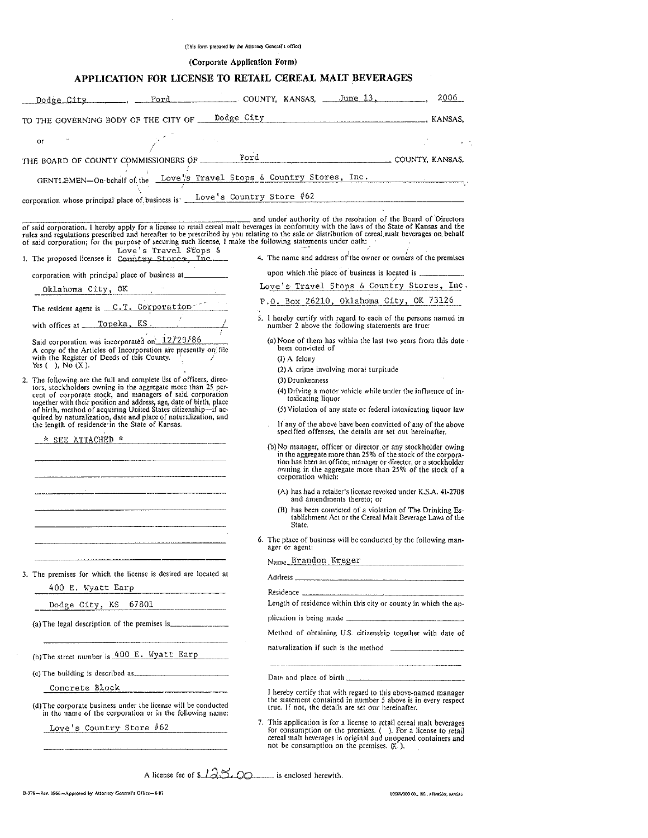|  |  |  | (This form prepared by the Attorney General's office) |  |
|--|--|--|-------------------------------------------------------|--|
|  |  |  |                                                       |  |

 $\hat{\mathcal{A}}$ 

(Corporate Application Form)

| Dodge City _______, ___ Ford ________________ COUNTY, KANSAS, ___June 13, __________,<br>TO THE GOVERNING BODY OF THE CITY OF Dodge City Manuscript Communication CANSAS,<br>or<br>THE BOARD OF COUNTY COMMISSIONERS OF Ford Ford COUNTY, KANSAS.<br>GENTLEMEN-On-behalf of the Love's Travel Stops & Country Stores, Inc.<br>corporation whose principal place of business is ___Love's Country Store #62<br>and under authority of the resolution of the Board of Directors<br>of said corporation. I hereby apply for a license to retail cereal malt beverages in conformity with the laws of the State of Kansas and the<br>rules and regulations prescribed and hereafter to be prescribed by you relating to the sale or distribution of cereal malt beverages on behalf<br>of said corporation; for the purpose of securing such license, I make the following statements under oath:<br>Love's Travel Stops &<br>4. The name and address of the owner or owners of the premises<br>1. The proposed licensee is Country Stores, Inc.<br>upon which the place of business is located is ______________<br>corporation with principal place of business at ____________<br>Love's Travel Stops & Country Stores, Inc.<br>Oklahoma City, OK Chambre City<br>P.O. Box 26210, Oklahoma City, OK 73126<br>The resident agent is <u>C.T. Corporation</u><br>5. I hereby certify with regard to each of the persons named in<br>number 2 above the following statements are true:<br>Said corporation was incorporated on 12/29/86<br>(a) None of them has within the last two years from this date -<br>been convicted of<br>A copy of the Articles of Incorporation are presently on file |  |
|---------------------------------------------------------------------------------------------------------------------------------------------------------------------------------------------------------------------------------------------------------------------------------------------------------------------------------------------------------------------------------------------------------------------------------------------------------------------------------------------------------------------------------------------------------------------------------------------------------------------------------------------------------------------------------------------------------------------------------------------------------------------------------------------------------------------------------------------------------------------------------------------------------------------------------------------------------------------------------------------------------------------------------------------------------------------------------------------------------------------------------------------------------------------------------------------------------------------------------------------------------------------------------------------------------------------------------------------------------------------------------------------------------------------------------------------------------------------------------------------------------------------------------------------------------------------------------------------------------------------------------------------------------------------------------------------|--|
|                                                                                                                                                                                                                                                                                                                                                                                                                                                                                                                                                                                                                                                                                                                                                                                                                                                                                                                                                                                                                                                                                                                                                                                                                                                                                                                                                                                                                                                                                                                                                                                                                                                                                             |  |
|                                                                                                                                                                                                                                                                                                                                                                                                                                                                                                                                                                                                                                                                                                                                                                                                                                                                                                                                                                                                                                                                                                                                                                                                                                                                                                                                                                                                                                                                                                                                                                                                                                                                                             |  |
|                                                                                                                                                                                                                                                                                                                                                                                                                                                                                                                                                                                                                                                                                                                                                                                                                                                                                                                                                                                                                                                                                                                                                                                                                                                                                                                                                                                                                                                                                                                                                                                                                                                                                             |  |
|                                                                                                                                                                                                                                                                                                                                                                                                                                                                                                                                                                                                                                                                                                                                                                                                                                                                                                                                                                                                                                                                                                                                                                                                                                                                                                                                                                                                                                                                                                                                                                                                                                                                                             |  |
|                                                                                                                                                                                                                                                                                                                                                                                                                                                                                                                                                                                                                                                                                                                                                                                                                                                                                                                                                                                                                                                                                                                                                                                                                                                                                                                                                                                                                                                                                                                                                                                                                                                                                             |  |
|                                                                                                                                                                                                                                                                                                                                                                                                                                                                                                                                                                                                                                                                                                                                                                                                                                                                                                                                                                                                                                                                                                                                                                                                                                                                                                                                                                                                                                                                                                                                                                                                                                                                                             |  |
|                                                                                                                                                                                                                                                                                                                                                                                                                                                                                                                                                                                                                                                                                                                                                                                                                                                                                                                                                                                                                                                                                                                                                                                                                                                                                                                                                                                                                                                                                                                                                                                                                                                                                             |  |
|                                                                                                                                                                                                                                                                                                                                                                                                                                                                                                                                                                                                                                                                                                                                                                                                                                                                                                                                                                                                                                                                                                                                                                                                                                                                                                                                                                                                                                                                                                                                                                                                                                                                                             |  |
|                                                                                                                                                                                                                                                                                                                                                                                                                                                                                                                                                                                                                                                                                                                                                                                                                                                                                                                                                                                                                                                                                                                                                                                                                                                                                                                                                                                                                                                                                                                                                                                                                                                                                             |  |
|                                                                                                                                                                                                                                                                                                                                                                                                                                                                                                                                                                                                                                                                                                                                                                                                                                                                                                                                                                                                                                                                                                                                                                                                                                                                                                                                                                                                                                                                                                                                                                                                                                                                                             |  |
|                                                                                                                                                                                                                                                                                                                                                                                                                                                                                                                                                                                                                                                                                                                                                                                                                                                                                                                                                                                                                                                                                                                                                                                                                                                                                                                                                                                                                                                                                                                                                                                                                                                                                             |  |
|                                                                                                                                                                                                                                                                                                                                                                                                                                                                                                                                                                                                                                                                                                                                                                                                                                                                                                                                                                                                                                                                                                                                                                                                                                                                                                                                                                                                                                                                                                                                                                                                                                                                                             |  |
|                                                                                                                                                                                                                                                                                                                                                                                                                                                                                                                                                                                                                                                                                                                                                                                                                                                                                                                                                                                                                                                                                                                                                                                                                                                                                                                                                                                                                                                                                                                                                                                                                                                                                             |  |
|                                                                                                                                                                                                                                                                                                                                                                                                                                                                                                                                                                                                                                                                                                                                                                                                                                                                                                                                                                                                                                                                                                                                                                                                                                                                                                                                                                                                                                                                                                                                                                                                                                                                                             |  |
| with the Register of Deeds of this County.<br>$(1)$ A felony                                                                                                                                                                                                                                                                                                                                                                                                                                                                                                                                                                                                                                                                                                                                                                                                                                                                                                                                                                                                                                                                                                                                                                                                                                                                                                                                                                                                                                                                                                                                                                                                                                |  |
| Yes $( )$ , No $( X )$ .<br>(2) A crime involving moral turpitude                                                                                                                                                                                                                                                                                                                                                                                                                                                                                                                                                                                                                                                                                                                                                                                                                                                                                                                                                                                                                                                                                                                                                                                                                                                                                                                                                                                                                                                                                                                                                                                                                           |  |
| 2. The following are the full and complete list of officers, direc-<br>(3) Drunkenness<br>tors, stockholders owning in the aggregate more than 25 per-                                                                                                                                                                                                                                                                                                                                                                                                                                                                                                                                                                                                                                                                                                                                                                                                                                                                                                                                                                                                                                                                                                                                                                                                                                                                                                                                                                                                                                                                                                                                      |  |
| (4) Driving a motor vehicle while under the influence of in-<br>cent of corporate stock, and managers of said corporation<br>toxicating liquor                                                                                                                                                                                                                                                                                                                                                                                                                                                                                                                                                                                                                                                                                                                                                                                                                                                                                                                                                                                                                                                                                                                                                                                                                                                                                                                                                                                                                                                                                                                                              |  |
| together with their position and address, age, date of birth, place<br>of birth, method of acquiring United States citizenship-if ac-<br>(5) Violation of any state or federal intoxicating liquor law                                                                                                                                                                                                                                                                                                                                                                                                                                                                                                                                                                                                                                                                                                                                                                                                                                                                                                                                                                                                                                                                                                                                                                                                                                                                                                                                                                                                                                                                                      |  |
| quired by naturalization, date and place of naturalization, and<br>the length of residence in the State of Kansas.<br>If any of the above have been convicted of any of the above<br>specified offenses, the details are set out hereinafter.                                                                                                                                                                                                                                                                                                                                                                                                                                                                                                                                                                                                                                                                                                                                                                                                                                                                                                                                                                                                                                                                                                                                                                                                                                                                                                                                                                                                                                               |  |
| (b) No manager, officer or director or any stockholder owing                                                                                                                                                                                                                                                                                                                                                                                                                                                                                                                                                                                                                                                                                                                                                                                                                                                                                                                                                                                                                                                                                                                                                                                                                                                                                                                                                                                                                                                                                                                                                                                                                                |  |
| in the aggregate more than 25% of the stock of the corpora-<br>tion has been an officer, manager or director, or a stockholder                                                                                                                                                                                                                                                                                                                                                                                                                                                                                                                                                                                                                                                                                                                                                                                                                                                                                                                                                                                                                                                                                                                                                                                                                                                                                                                                                                                                                                                                                                                                                              |  |
| owning in the aggregate more than 25% of the stock of a<br>corporation which:                                                                                                                                                                                                                                                                                                                                                                                                                                                                                                                                                                                                                                                                                                                                                                                                                                                                                                                                                                                                                                                                                                                                                                                                                                                                                                                                                                                                                                                                                                                                                                                                               |  |
| (A) has had a retailer's license revoked under K.S.A. 41-2708                                                                                                                                                                                                                                                                                                                                                                                                                                                                                                                                                                                                                                                                                                                                                                                                                                                                                                                                                                                                                                                                                                                                                                                                                                                                                                                                                                                                                                                                                                                                                                                                                               |  |
| and amendments thereto; or<br>(B) has been convicted of a violation of The Drinking Es-                                                                                                                                                                                                                                                                                                                                                                                                                                                                                                                                                                                                                                                                                                                                                                                                                                                                                                                                                                                                                                                                                                                                                                                                                                                                                                                                                                                                                                                                                                                                                                                                     |  |
| tablishment Act or the Cereal Malt Beverage Laws of the<br>State.                                                                                                                                                                                                                                                                                                                                                                                                                                                                                                                                                                                                                                                                                                                                                                                                                                                                                                                                                                                                                                                                                                                                                                                                                                                                                                                                                                                                                                                                                                                                                                                                                           |  |
| 6. The place of business will be conducted by the following man-<br>ager or agent:                                                                                                                                                                                                                                                                                                                                                                                                                                                                                                                                                                                                                                                                                                                                                                                                                                                                                                                                                                                                                                                                                                                                                                                                                                                                                                                                                                                                                                                                                                                                                                                                          |  |
| Name Brandon Kreger                                                                                                                                                                                                                                                                                                                                                                                                                                                                                                                                                                                                                                                                                                                                                                                                                                                                                                                                                                                                                                                                                                                                                                                                                                                                                                                                                                                                                                                                                                                                                                                                                                                                         |  |
| 3. The premises for which the license is desired are located at                                                                                                                                                                                                                                                                                                                                                                                                                                                                                                                                                                                                                                                                                                                                                                                                                                                                                                                                                                                                                                                                                                                                                                                                                                                                                                                                                                                                                                                                                                                                                                                                                             |  |
| 400 E. Wyatt Earp                                                                                                                                                                                                                                                                                                                                                                                                                                                                                                                                                                                                                                                                                                                                                                                                                                                                                                                                                                                                                                                                                                                                                                                                                                                                                                                                                                                                                                                                                                                                                                                                                                                                           |  |
| Length of residence within this city or county in which the ap-<br>Dodge City, KS 67801                                                                                                                                                                                                                                                                                                                                                                                                                                                                                                                                                                                                                                                                                                                                                                                                                                                                                                                                                                                                                                                                                                                                                                                                                                                                                                                                                                                                                                                                                                                                                                                                     |  |
|                                                                                                                                                                                                                                                                                                                                                                                                                                                                                                                                                                                                                                                                                                                                                                                                                                                                                                                                                                                                                                                                                                                                                                                                                                                                                                                                                                                                                                                                                                                                                                                                                                                                                             |  |
| (a) The legal description of the premises is <u>equal</u> containing<br>Method of obtaining U.S. citizenship together with date of                                                                                                                                                                                                                                                                                                                                                                                                                                                                                                                                                                                                                                                                                                                                                                                                                                                                                                                                                                                                                                                                                                                                                                                                                                                                                                                                                                                                                                                                                                                                                          |  |
| naturalization if such is the method $\frac{1}{1}$                                                                                                                                                                                                                                                                                                                                                                                                                                                                                                                                                                                                                                                                                                                                                                                                                                                                                                                                                                                                                                                                                                                                                                                                                                                                                                                                                                                                                                                                                                                                                                                                                                          |  |
| (b) The street number is 400 E. Wyatt Earp                                                                                                                                                                                                                                                                                                                                                                                                                                                                                                                                                                                                                                                                                                                                                                                                                                                                                                                                                                                                                                                                                                                                                                                                                                                                                                                                                                                                                                                                                                                                                                                                                                                  |  |
| (c) The building is described as <b>contained</b> as the building is described as <b>contained</b>                                                                                                                                                                                                                                                                                                                                                                                                                                                                                                                                                                                                                                                                                                                                                                                                                                                                                                                                                                                                                                                                                                                                                                                                                                                                                                                                                                                                                                                                                                                                                                                          |  |
| Concrete Block (2008)<br>I hereby certify that with regard to this above-named manager                                                                                                                                                                                                                                                                                                                                                                                                                                                                                                                                                                                                                                                                                                                                                                                                                                                                                                                                                                                                                                                                                                                                                                                                                                                                                                                                                                                                                                                                                                                                                                                                      |  |
| the statement contained in number 5 above is in every respect<br>(d) The corporate business under the license will be conducted<br>true. If not, the details are set our hereinafter.<br>in the name of the corporation or in the following name:                                                                                                                                                                                                                                                                                                                                                                                                                                                                                                                                                                                                                                                                                                                                                                                                                                                                                                                                                                                                                                                                                                                                                                                                                                                                                                                                                                                                                                           |  |
| 7. This application is for a license to retail cereal mait beverages<br>Love's Country Store #62                                                                                                                                                                                                                                                                                                                                                                                                                                                                                                                                                                                                                                                                                                                                                                                                                                                                                                                                                                                                                                                                                                                                                                                                                                                                                                                                                                                                                                                                                                                                                                                            |  |
| for consumption on the premises. (). For a license to retail<br>cereal malt beverages in original and unopened containers and<br>not be consumption on the premises. $(X, \cdot)$ ,                                                                                                                                                                                                                                                                                                                                                                                                                                                                                                                                                                                                                                                                                                                                                                                                                                                                                                                                                                                                                                                                                                                                                                                                                                                                                                                                                                                                                                                                                                         |  |

A license fee of **s**  $125.00$  is enclosed herewith.

B-378-Rev. 1966-Approved by Attorney General's Office-8-87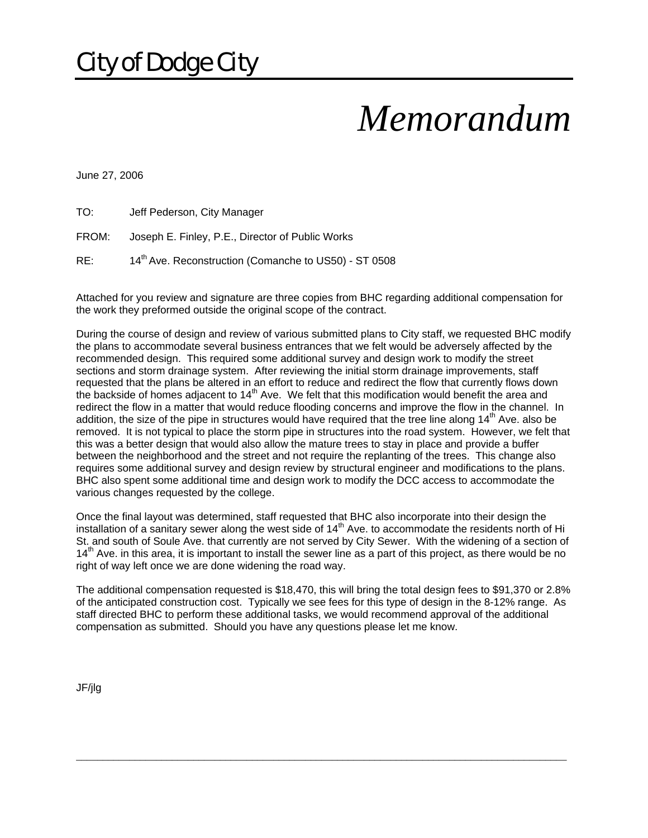# *Memorandum*

June 27, 2006

| TO: | Jeff Pederson, City Manager |  |
|-----|-----------------------------|--|
|     |                             |  |

FROM: Joseph E. Finley, P.E., Director of Public Works

RE: 14<sup>th</sup> Ave. Reconstruction (Comanche to US50) - ST 0508

Attached for you review and signature are three copies from BHC regarding additional compensation for the work they preformed outside the original scope of the contract.

During the course of design and review of various submitted plans to City staff, we requested BHC modify the plans to accommodate several business entrances that we felt would be adversely affected by the recommended design. This required some additional survey and design work to modify the street sections and storm drainage system. After reviewing the initial storm drainage improvements, staff requested that the plans be altered in an effort to reduce and redirect the flow that currently flows down the backside of homes adjacent to  $14<sup>th</sup>$  Ave. We felt that this modification would benefit the area and redirect the flow in a matter that would reduce flooding concerns and improve the flow in the channel. In addition, the size of the pipe in structures would have required that the tree line along  $14<sup>th</sup>$  Ave. also be removed. It is not typical to place the storm pipe in structures into the road system. However, we felt that this was a better design that would also allow the mature trees to stay in place and provide a buffer between the neighborhood and the street and not require the replanting of the trees. This change also requires some additional survey and design review by structural engineer and modifications to the plans. BHC also spent some additional time and design work to modify the DCC access to accommodate the various changes requested by the college.

Once the final layout was determined, staff requested that BHC also incorporate into their design the installation of a sanitary sewer along the west side of 14<sup>th</sup> Ave. to accommodate the residents north of Hi St. and south of Soule Ave. that currently are not served by City Sewer. With the widening of a section of  $14<sup>th</sup>$  Ave. in this area, it is important to install the sewer line as a part of this project, as there would be no right of way left once we are done widening the road way.

The additional compensation requested is \$18,470, this will bring the total design fees to \$91,370 or 2.8% of the anticipated construction cost. Typically we see fees for this type of design in the 8-12% range. As staff directed BHC to perform these additional tasks, we would recommend approval of the additional compensation as submitted. Should you have any questions please let me know.

 $\overline{a}$  , and the contribution of the contribution of the contribution of the contribution of the contribution of  $\overline{a}$ 

JF/jlg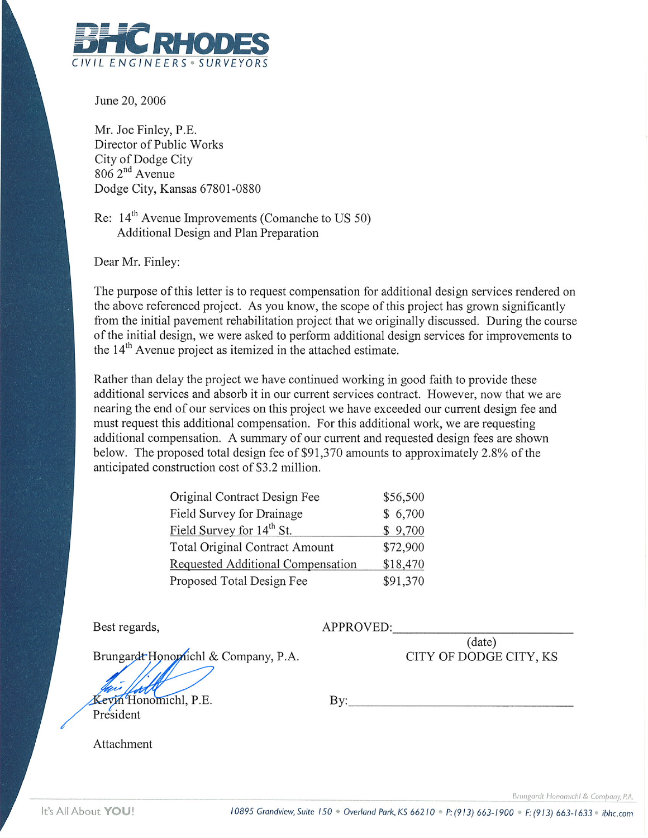

June 20, 2006

Mr. Joe Finley, P.E. Director of Public Works City of Dodge City  $8062<sup>nd</sup>$  Avenue Dodge City, Kansas 67801-0880

Re:  $14<sup>th</sup>$  Avenue Improvements (Comanche to US 50) Additional Design and Plan Preparation

Dear Mr. Finley:

The purpose of this letter is to request compensation for additional design services rendered on the above referenced project. As you know, the scope of this project has grown significantly from the initial pavement rehabilitation project that we originally discussed. During the course of the initial design, we were asked to perform additional design services for improvements to the 14<sup>th</sup> Avenue project as itemized in the attached estimate.

Rather than delay the project we have continued working in good faith to provide these additional services and absorb it in our current services contract. However, now that we are nearing the end of our services on this project we have exceeded our current design fee and must request this additional compensation. For this additional work, we are requesting additional compensation. A summary of our current and requested design fees are shown below. The proposed total design fee of \$91,370 amounts to approximately 2.8% of the anticipated construction cost of \$3.2 million.

| \$56,500 |
|----------|
| \$6,700  |
| \$9,700  |
| \$72,900 |
| \$18,470 |
| \$91,370 |
|          |

Best regards,

APPROVED:

 $(date)$ CITY OF DODGE CITY, KS

Brungardt Honomichl & Company, P.A.

Kevin Honomichl, P.E. President

By:

Attachment

Brungardt Honomichl & Company, P.A.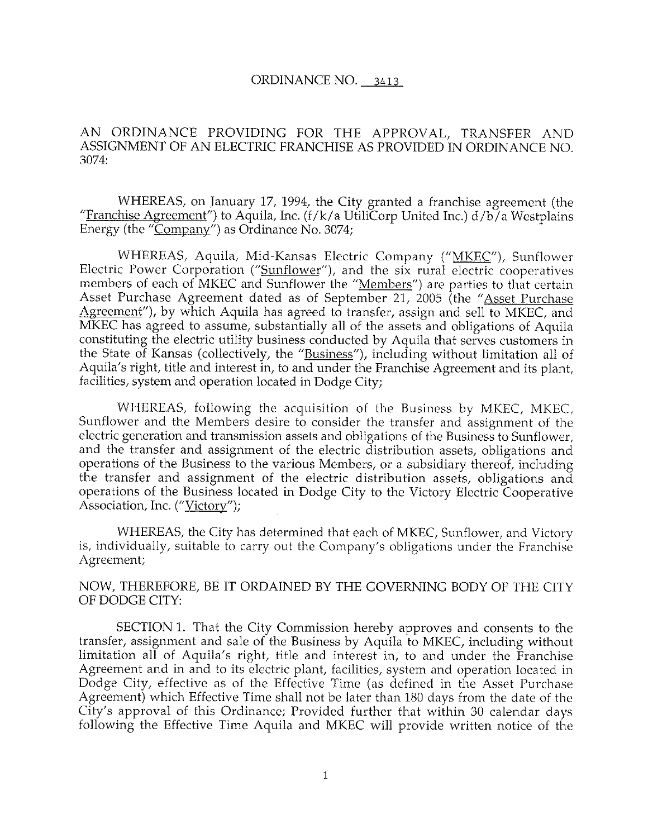#### ORDINANCE NO. 3413

#### AN ORDINANCE PROVIDING FOR THE APPROVAL, TRANSFER AND ASSIGNMENT OF AN ELECTRIC FRANCHISE AS PROVIDED IN ORDINANCE NO.  $3074:$

WHEREAS, on January 17, 1994, the City granted a franchise agreement (the "Franchise Agreement") to Aquila, Inc. ( $f/k/a$  UtiliCorp United Inc.)  $d/b/a$  Westplains Energy (the "Company") as Ordinance No. 3074;

WHEREAS, Aquila, Mid-Kansas Electric Company ("MKEC"), Sunflower Electric Power Corporation ("Sunflower"), and the six rural electric cooperatives members of each of MKEC and Sunflower the "Members") are parties to that certain Asset Purchase Agreement dated as of September 21, 2005 (the "Asset Purchase Agreement"), by which Aquila has agreed to transfer, assign and sell to MKEC, and MKEC has agreed to assume, substantially all of the assets and obligations of Aquila constituting the electric utility business conducted by Aquila that serves customers in the State of Kansas (collectively, the "Business"), including without limitation all of Aquila's right, title and interest in, to and under the Franchise Agreement and its plant, facilities, system and operation located in Dodge City;

WHEREAS, following the acquisition of the Business by MKEC, MKEC, Sunflower and the Members desire to consider the transfer and assignment of the electric generation and transmission assets and obligations of the Business to Sunflower, and the transfer and assignment of the electric distribution assets, obligations and operations of the Business to the various Members, or a subsidiary thereof, including the transfer and assignment of the electric distribution assets, obligations and operations of the Business located in Dodge City to the Victory Electric Cooperative Association, Inc. ("Victory");

WHEREAS, the City has determined that each of MKEC, Sunflower, and Victory is, individually, suitable to carry out the Company's obligations under the Franchise Agreement;

#### NOW, THEREFORE, BE IT ORDAINED BY THE GOVERNING BODY OF THE CITY OF DODGE CITY:

SECTION 1. That the City Commission hereby approves and consents to the transfer, assignment and sale of the Business by Aquila to MKEC, including without limitation all of Aquila's right, title and interest in, to and under the Franchise Agreement and in and to its electric plant, facilities, system and operation located in Dodge City, effective as of the Effective Time (as defined in the Asset Purchase Agreement) which Effective Time shall not be later than 180 days from the date of the City's approval of this Ordinance; Provided further that within 30 calendar days following the Effective Time Aquila and MKEC will provide written notice of the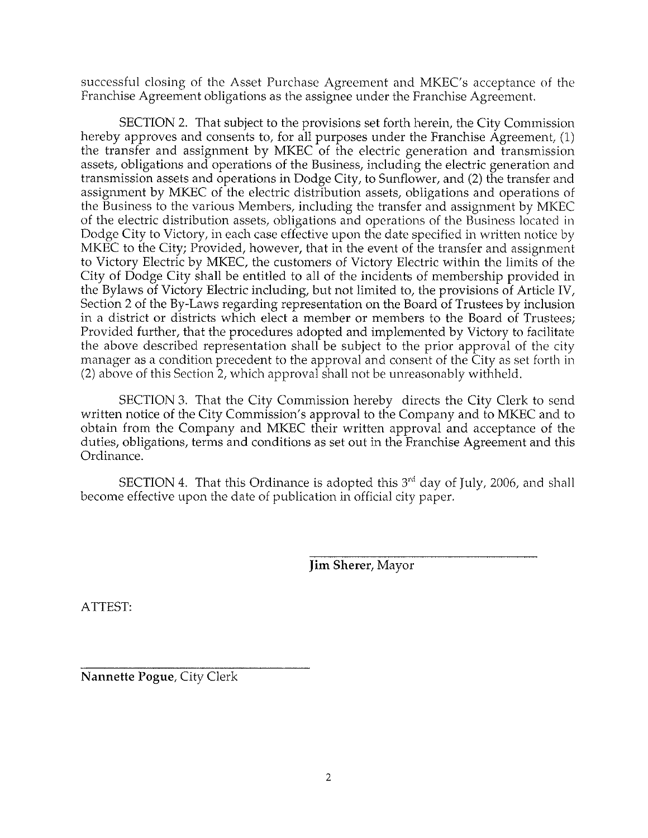successful closing of the Asset Purchase Agreement and MKEC's acceptance of the Franchise Agreement obligations as the assignee under the Franchise Agreement.

SECTION 2. That subject to the provisions set forth herein, the City Commission hereby approves and consents to, for all purposes under the Franchise Agreement, (1) the transfer and assignment by MKEC of the electric generation and transmission assets, obligations and operations of the Business, including the electric generation and transmission assets and operations in Dodge City, to Sunflower, and (2) the transfer and assignment by MKEC of the electric distribution assets, obligations and operations of the Business to the various Members, including the transfer and assignment by MKEC of the electric distribution assets, obligations and operations of the Business located in Dodge City to Victory, in each case effective upon the date specified in written notice by MKEC to the City; Provided, however, that in the event of the transfer and assignment to Victory Electric by MKEC, the customers of Victory Electric within the limits of the City of Dodge City shall be entitled to all of the incidents of membership provided in the Bylaws of Victory Electric including, but not limited to, the provisions of Article IV, Section 2 of the By-Laws regarding representation on the Board of Trustees by inclusion in a district or districts which elect a member or members to the Board of Trustees; Provided further, that the procedures adopted and implemented by Victory to facilitate the above described representation shall be subject to the prior approval of the city manager as a condition precedent to the approval and consent of the City as set forth in (2) above of this Section 2, which approval shall not be unreasonably withheld.

SECTION 3. That the City Commission hereby directs the City Clerk to send written notice of the City Commission's approval to the Company and to MKEC and to obtain from the Company and MKEC their written approval and acceptance of the duties, obligations, terms and conditions as set out in the Franchise Agreement and this Ordinance.

SECTION 4. That this Ordinance is adopted this 3<sup>rd</sup> day of July, 2006, and shall become effective upon the date of publication in official city paper.

**Jim Sherer, Mayor** 

ATTEST:

Nannette Pogue, City Clerk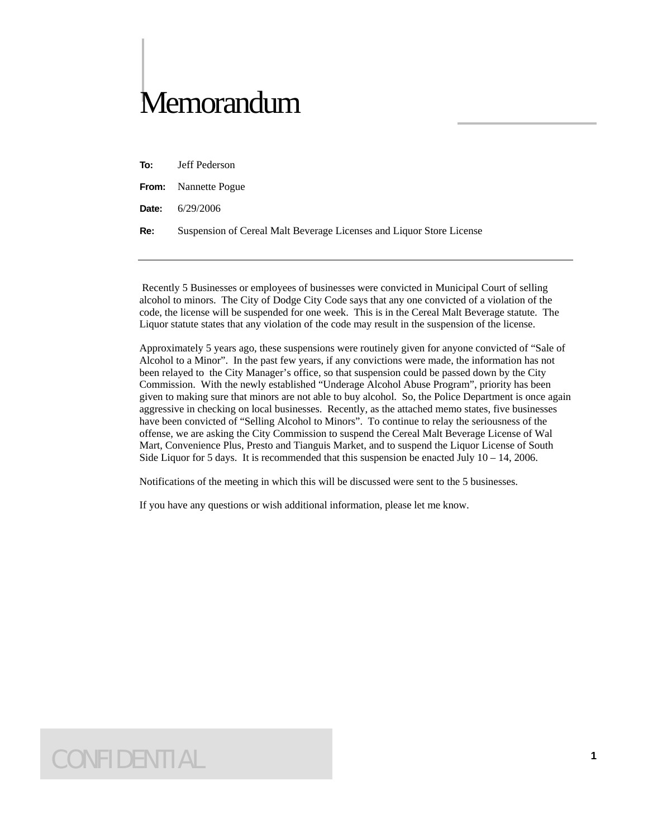## Memorandum

**To:** Jeff Pederson

**From:** Nannette Pogue

**Date:** 6/29/2006

**Re:** Suspension of Cereal Malt Beverage Licenses and Liquor Store License

 Recently 5 Businesses or employees of businesses were convicted in Municipal Court of selling alcohol to minors. The City of Dodge City Code says that any one convicted of a violation of the code, the license will be suspended for one week. This is in the Cereal Malt Beverage statute. The Liquor statute states that any violation of the code may result in the suspension of the license.

Approximately 5 years ago, these suspensions were routinely given for anyone convicted of "Sale of Alcohol to a Minor". In the past few years, if any convictions were made, the information has not been relayed to the City Manager's office, so that suspension could be passed down by the City Commission. With the newly established "Underage Alcohol Abuse Program", priority has been given to making sure that minors are not able to buy alcohol. So, the Police Department is once again aggressive in checking on local businesses. Recently, as the attached memo states, five businesses have been convicted of "Selling Alcohol to Minors". To continue to relay the seriousness of the offense, we are asking the City Commission to suspend the Cereal Malt Beverage License of Wal Mart, Convenience Plus, Presto and Tianguis Market, and to suspend the Liquor License of South Side Liquor for 5 days. It is recommended that this suspension be enacted July  $10 - 14$ , 2006.

Notifications of the meeting in which this will be discussed were sent to the 5 businesses.

If you have any questions or wish additional information, please let me know.

### CONFIDENTIAL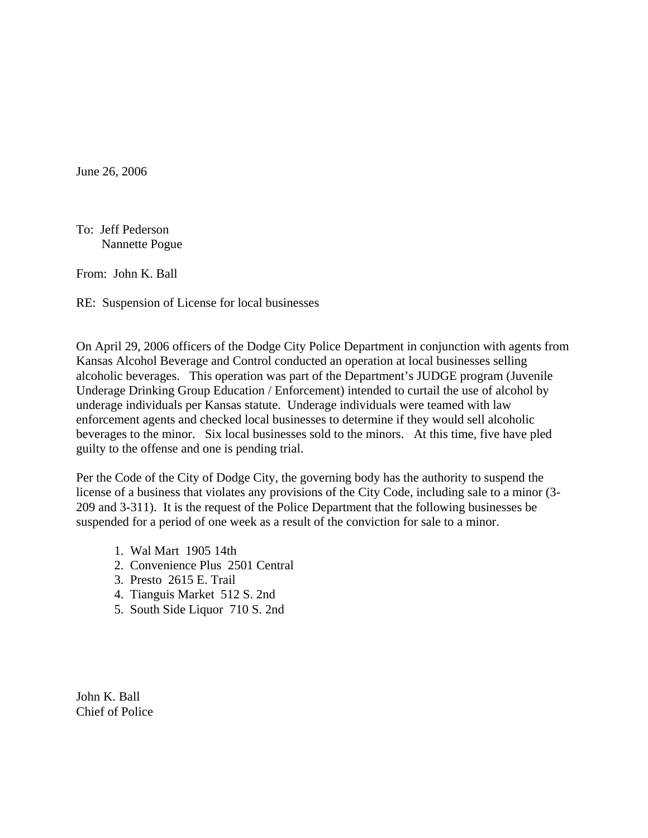June 26, 2006

To: Jeff Pederson Nannette Pogue

From: John K. Ball

RE: Suspension of License for local businesses

On April 29, 2006 officers of the Dodge City Police Department in conjunction with agents from Kansas Alcohol Beverage and Control conducted an operation at local businesses selling alcoholic beverages. This operation was part of the Department's JUDGE program (Juvenile Underage Drinking Group Education / Enforcement) intended to curtail the use of alcohol by underage individuals per Kansas statute. Underage individuals were teamed with law enforcement agents and checked local businesses to determine if they would sell alcoholic beverages to the minor. Six local businesses sold to the minors. At this time, five have pled guilty to the offense and one is pending trial.

Per the Code of the City of Dodge City, the governing body has the authority to suspend the license of a business that violates any provisions of the City Code, including sale to a minor (3- 209 and 3-311). It is the request of the Police Department that the following businesses be suspended for a period of one week as a result of the conviction for sale to a minor.

- 1. Wal Mart 1905 14th
- 2. Convenience Plus 2501 Central
- 3. Presto 2615 E. Trail
- 4. Tianguis Market 512 S. 2nd
- 5. South Side Liquor 710 S. 2nd

John K. Ball Chief of Police